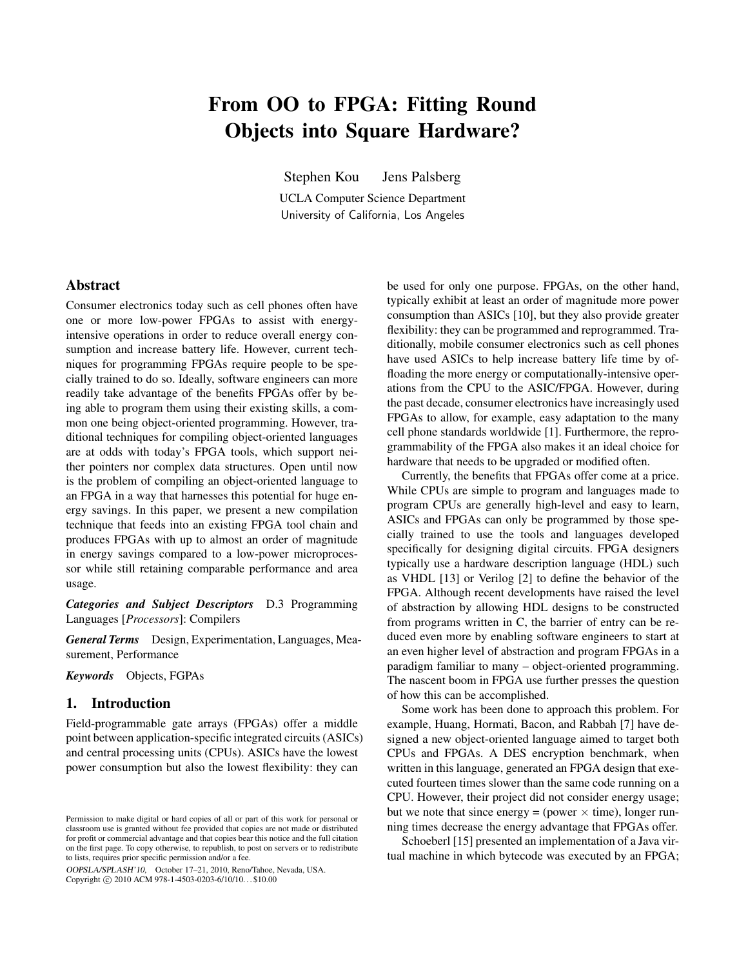# From OO to FPGA: Fitting Round Objects into Square Hardware?

Stephen Kou Jens Palsberg

UCLA Computer Science Department University of California, Los Angeles

# Abstract

Consumer electronics today such as cell phones often have one or more low-power FPGAs to assist with energyintensive operations in order to reduce overall energy consumption and increase battery life. However, current techniques for programming FPGAs require people to be specially trained to do so. Ideally, software engineers can more readily take advantage of the benefits FPGAs offer by being able to program them using their existing skills, a common one being object-oriented programming. However, traditional techniques for compiling object-oriented languages are at odds with today's FPGA tools, which support neither pointers nor complex data structures. Open until now is the problem of compiling an object-oriented language to an FPGA in a way that harnesses this potential for huge energy savings. In this paper, we present a new compilation technique that feeds into an existing FPGA tool chain and produces FPGAs with up to almost an order of magnitude in energy savings compared to a low-power microprocessor while still retaining comparable performance and area usage.

*Categories and Subject Descriptors* D.3 Programming Languages [*Processors*]: Compilers

*General Terms* Design, Experimentation, Languages, Measurement, Performance

*Keywords* Objects, FGPAs

# 1. Introduction

Field-programmable gate arrays (FPGAs) offer a middle point between application-specific integrated circuits (ASICs) and central processing units (CPUs). ASICs have the lowest power consumption but also the lowest flexibility: they can

OOPSLA/SPLASH'10, October 17–21, 2010, Reno/Tahoe, Nevada, USA. Copyright © 2010 ACM 978-1-4503-0203-6/10/10... \$10.00

be used for only one purpose. FPGAs, on the other hand, typically exhibit at least an order of magnitude more power consumption than ASICs [10], but they also provide greater flexibility: they can be programmed and reprogrammed. Traditionally, mobile consumer electronics such as cell phones have used ASICs to help increase battery life time by offloading the more energy or computationally-intensive operations from the CPU to the ASIC/FPGA. However, during the past decade, consumer electronics have increasingly used FPGAs to allow, for example, easy adaptation to the many cell phone standards worldwide [1]. Furthermore, the reprogrammability of the FPGA also makes it an ideal choice for hardware that needs to be upgraded or modified often.

Currently, the benefits that FPGAs offer come at a price. While CPUs are simple to program and languages made to program CPUs are generally high-level and easy to learn, ASICs and FPGAs can only be programmed by those specially trained to use the tools and languages developed specifically for designing digital circuits. FPGA designers typically use a hardware description language (HDL) such as VHDL [13] or Verilog [2] to define the behavior of the FPGA. Although recent developments have raised the level of abstraction by allowing HDL designs to be constructed from programs written in C, the barrier of entry can be reduced even more by enabling software engineers to start at an even higher level of abstraction and program FPGAs in a paradigm familiar to many – object-oriented programming. The nascent boom in FPGA use further presses the question of how this can be accomplished.

Some work has been done to approach this problem. For example, Huang, Hormati, Bacon, and Rabbah [7] have designed a new object-oriented language aimed to target both CPUs and FPGAs. A DES encryption benchmark, when written in this language, generated an FPGA design that executed fourteen times slower than the same code running on a CPU. However, their project did not consider energy usage; but we note that since energy = (power  $\times$  time), longer running times decrease the energy advantage that FPGAs offer.

Schoeberl [15] presented an implementation of a Java virtual machine in which bytecode was executed by an FPGA;

Permission to make digital or hard copies of all or part of this work for personal or classroom use is granted without fee provided that copies are not made or distributed for profit or commercial advantage and that copies bear this notice and the full citation on the first page. To copy otherwise, to republish, to post on servers or to redistribute to lists, requires prior specific permission and/or a fee.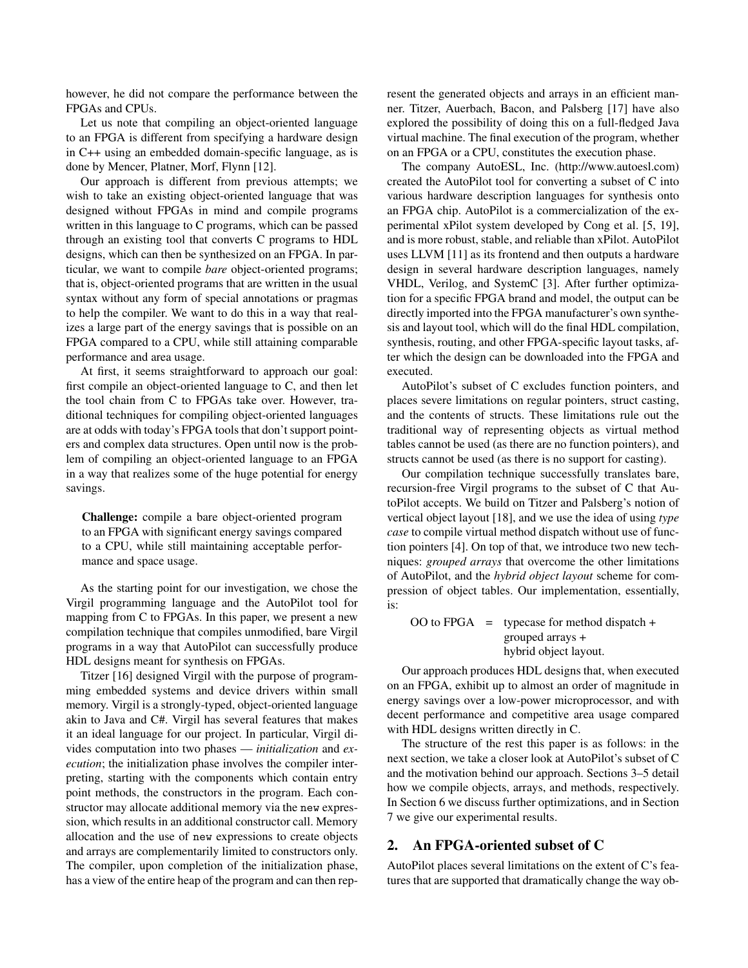however, he did not compare the performance between the FPGAs and CPUs.

Let us note that compiling an object-oriented language to an FPGA is different from specifying a hardware design in C++ using an embedded domain-specific language, as is done by Mencer, Platner, Morf, Flynn [12].

Our approach is different from previous attempts; we wish to take an existing object-oriented language that was designed without FPGAs in mind and compile programs written in this language to C programs, which can be passed through an existing tool that converts C programs to HDL designs, which can then be synthesized on an FPGA. In particular, we want to compile *bare* object-oriented programs; that is, object-oriented programs that are written in the usual syntax without any form of special annotations or pragmas to help the compiler. We want to do this in a way that realizes a large part of the energy savings that is possible on an FPGA compared to a CPU, while still attaining comparable performance and area usage.

At first, it seems straightforward to approach our goal: first compile an object-oriented language to C, and then let the tool chain from C to FPGAs take over. However, traditional techniques for compiling object-oriented languages are at odds with today's FPGA tools that don't support pointers and complex data structures. Open until now is the problem of compiling an object-oriented language to an FPGA in a way that realizes some of the huge potential for energy savings.

Challenge: compile a bare object-oriented program to an FPGA with significant energy savings compared to a CPU, while still maintaining acceptable performance and space usage.

As the starting point for our investigation, we chose the Virgil programming language and the AutoPilot tool for mapping from C to FPGAs. In this paper, we present a new compilation technique that compiles unmodified, bare Virgil programs in a way that AutoPilot can successfully produce HDL designs meant for synthesis on FPGAs.

Titzer [16] designed Virgil with the purpose of programming embedded systems and device drivers within small memory. Virgil is a strongly-typed, object-oriented language akin to Java and C#. Virgil has several features that makes it an ideal language for our project. In particular, Virgil divides computation into two phases — *initialization* and *execution*; the initialization phase involves the compiler interpreting, starting with the components which contain entry point methods, the constructors in the program. Each constructor may allocate additional memory via the new expression, which results in an additional constructor call. Memory allocation and the use of new expressions to create objects and arrays are complementarily limited to constructors only. The compiler, upon completion of the initialization phase, has a view of the entire heap of the program and can then represent the generated objects and arrays in an efficient manner. Titzer, Auerbach, Bacon, and Palsberg [17] have also explored the possibility of doing this on a full-fledged Java virtual machine. The final execution of the program, whether on an FPGA or a CPU, constitutes the execution phase.

The company AutoESL, Inc. (http://www.autoesl.com) created the AutoPilot tool for converting a subset of C into various hardware description languages for synthesis onto an FPGA chip. AutoPilot is a commercialization of the experimental xPilot system developed by Cong et al. [5, 19], and is more robust, stable, and reliable than xPilot. AutoPilot uses LLVM [11] as its frontend and then outputs a hardware design in several hardware description languages, namely VHDL, Verilog, and SystemC [3]. After further optimization for a specific FPGA brand and model, the output can be directly imported into the FPGA manufacturer's own synthesis and layout tool, which will do the final HDL compilation, synthesis, routing, and other FPGA-specific layout tasks, after which the design can be downloaded into the FPGA and executed.

AutoPilot's subset of C excludes function pointers, and places severe limitations on regular pointers, struct casting, and the contents of structs. These limitations rule out the traditional way of representing objects as virtual method tables cannot be used (as there are no function pointers), and structs cannot be used (as there is no support for casting).

Our compilation technique successfully translates bare, recursion-free Virgil programs to the subset of C that AutoPilot accepts. We build on Titzer and Palsberg's notion of vertical object layout [18], and we use the idea of using *type case* to compile virtual method dispatch without use of function pointers [4]. On top of that, we introduce two new techniques: *grouped arrays* that overcome the other limitations of AutoPilot, and the *hybrid object layout* scheme for compression of object tables. Our implementation, essentially, is:

OO to FPGA  $=$  typecase for method dispatch  $+$ grouped arrays + hybrid object layout.

Our approach produces HDL designs that, when executed on an FPGA, exhibit up to almost an order of magnitude in energy savings over a low-power microprocessor, and with decent performance and competitive area usage compared with HDL designs written directly in C.

The structure of the rest this paper is as follows: in the next section, we take a closer look at AutoPilot's subset of C and the motivation behind our approach. Sections 3–5 detail how we compile objects, arrays, and methods, respectively. In Section 6 we discuss further optimizations, and in Section 7 we give our experimental results.

# 2. An FPGA-oriented subset of C

AutoPilot places several limitations on the extent of C's features that are supported that dramatically change the way ob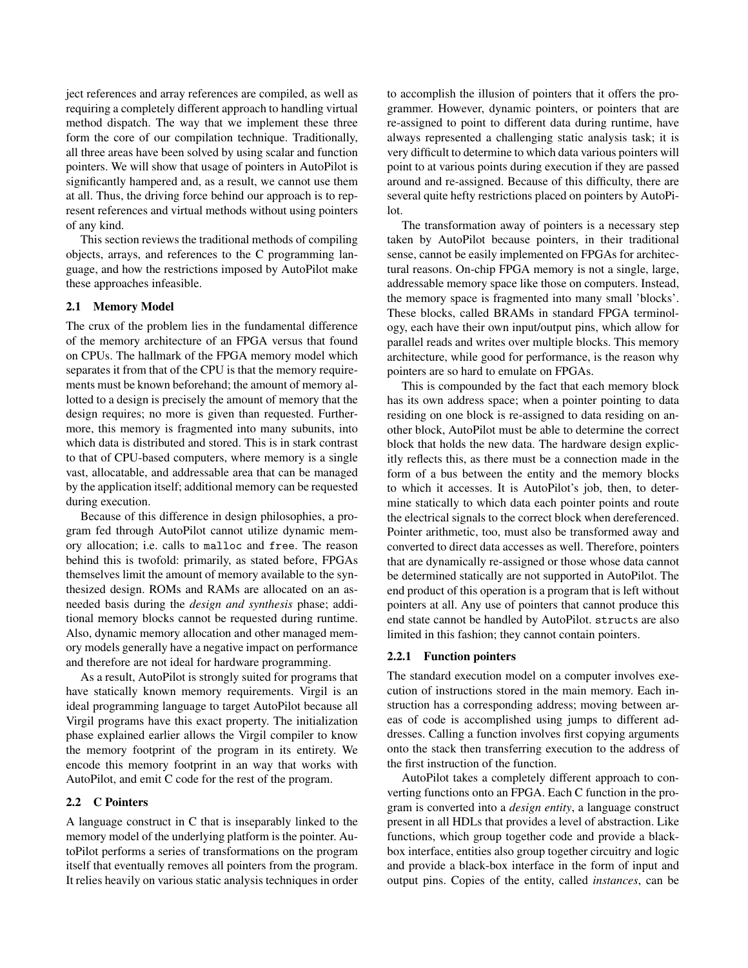ject references and array references are compiled, as well as requiring a completely different approach to handling virtual method dispatch. The way that we implement these three form the core of our compilation technique. Traditionally, all three areas have been solved by using scalar and function pointers. We will show that usage of pointers in AutoPilot is significantly hampered and, as a result, we cannot use them at all. Thus, the driving force behind our approach is to represent references and virtual methods without using pointers of any kind.

This section reviews the traditional methods of compiling objects, arrays, and references to the C programming language, and how the restrictions imposed by AutoPilot make these approaches infeasible.

### 2.1 Memory Model

The crux of the problem lies in the fundamental difference of the memory architecture of an FPGA versus that found on CPUs. The hallmark of the FPGA memory model which separates it from that of the CPU is that the memory requirements must be known beforehand; the amount of memory allotted to a design is precisely the amount of memory that the design requires; no more is given than requested. Furthermore, this memory is fragmented into many subunits, into which data is distributed and stored. This is in stark contrast to that of CPU-based computers, where memory is a single vast, allocatable, and addressable area that can be managed by the application itself; additional memory can be requested during execution.

Because of this difference in design philosophies, a program fed through AutoPilot cannot utilize dynamic memory allocation; i.e. calls to malloc and free. The reason behind this is twofold: primarily, as stated before, FPGAs themselves limit the amount of memory available to the synthesized design. ROMs and RAMs are allocated on an asneeded basis during the *design and synthesis* phase; additional memory blocks cannot be requested during runtime. Also, dynamic memory allocation and other managed memory models generally have a negative impact on performance and therefore are not ideal for hardware programming.

As a result, AutoPilot is strongly suited for programs that have statically known memory requirements. Virgil is an ideal programming language to target AutoPilot because all Virgil programs have this exact property. The initialization phase explained earlier allows the Virgil compiler to know the memory footprint of the program in its entirety. We encode this memory footprint in an way that works with AutoPilot, and emit C code for the rest of the program.

#### 2.2 C Pointers

A language construct in C that is inseparably linked to the memory model of the underlying platform is the pointer. AutoPilot performs a series of transformations on the program itself that eventually removes all pointers from the program. It relies heavily on various static analysis techniques in order to accomplish the illusion of pointers that it offers the programmer. However, dynamic pointers, or pointers that are re-assigned to point to different data during runtime, have always represented a challenging static analysis task; it is very difficult to determine to which data various pointers will point to at various points during execution if they are passed around and re-assigned. Because of this difficulty, there are several quite hefty restrictions placed on pointers by AutoPilot.

The transformation away of pointers is a necessary step taken by AutoPilot because pointers, in their traditional sense, cannot be easily implemented on FPGAs for architectural reasons. On-chip FPGA memory is not a single, large, addressable memory space like those on computers. Instead, the memory space is fragmented into many small 'blocks'. These blocks, called BRAMs in standard FPGA terminology, each have their own input/output pins, which allow for parallel reads and writes over multiple blocks. This memory architecture, while good for performance, is the reason why pointers are so hard to emulate on FPGAs.

This is compounded by the fact that each memory block has its own address space; when a pointer pointing to data residing on one block is re-assigned to data residing on another block, AutoPilot must be able to determine the correct block that holds the new data. The hardware design explicitly reflects this, as there must be a connection made in the form of a bus between the entity and the memory blocks to which it accesses. It is AutoPilot's job, then, to determine statically to which data each pointer points and route the electrical signals to the correct block when dereferenced. Pointer arithmetic, too, must also be transformed away and converted to direct data accesses as well. Therefore, pointers that are dynamically re-assigned or those whose data cannot be determined statically are not supported in AutoPilot. The end product of this operation is a program that is left without pointers at all. Any use of pointers that cannot produce this end state cannot be handled by AutoPilot. structs are also limited in this fashion; they cannot contain pointers.

### 2.2.1 Function pointers

The standard execution model on a computer involves execution of instructions stored in the main memory. Each instruction has a corresponding address; moving between areas of code is accomplished using jumps to different addresses. Calling a function involves first copying arguments onto the stack then transferring execution to the address of the first instruction of the function.

AutoPilot takes a completely different approach to converting functions onto an FPGA. Each C function in the program is converted into a *design entity*, a language construct present in all HDLs that provides a level of abstraction. Like functions, which group together code and provide a blackbox interface, entities also group together circuitry and logic and provide a black-box interface in the form of input and output pins. Copies of the entity, called *instances*, can be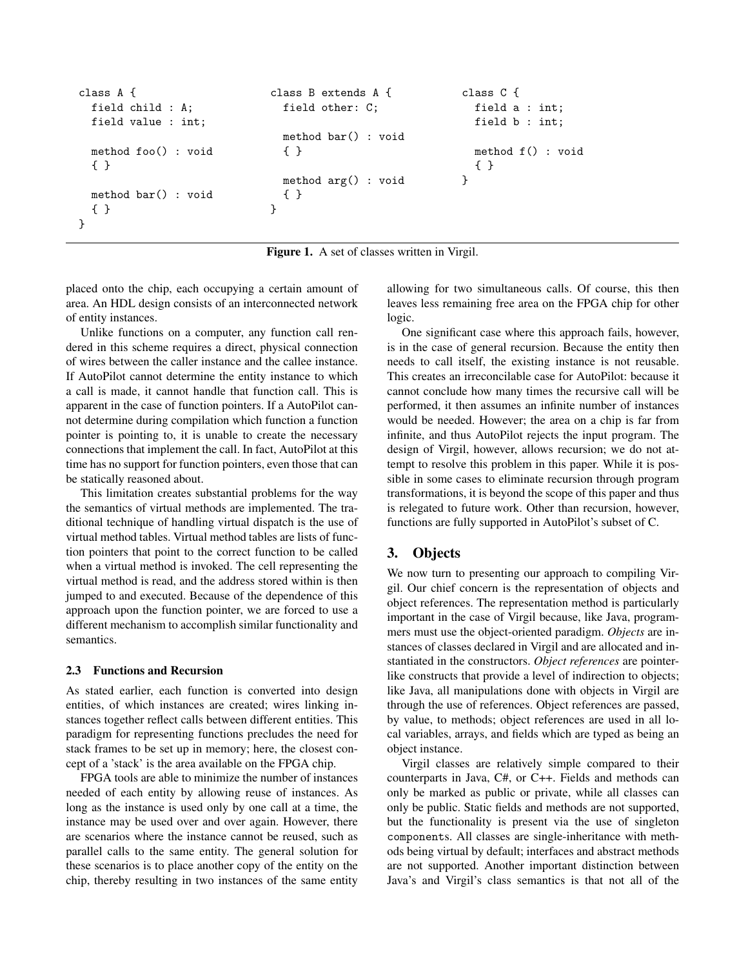```
class A { class B extends A { class C {
field child : A; field other: C; field a : int;
field value : int; field b : int;
                method bar() : void
method foo() : void { } method f() : void
 \{\}\method arg() : void }
method bar() : void { }
 { } }
}
```
Figure 1. A set of classes written in Virgil.

placed onto the chip, each occupying a certain amount of area. An HDL design consists of an interconnected network of entity instances.

Unlike functions on a computer, any function call rendered in this scheme requires a direct, physical connection of wires between the caller instance and the callee instance. If AutoPilot cannot determine the entity instance to which a call is made, it cannot handle that function call. This is apparent in the case of function pointers. If a AutoPilot cannot determine during compilation which function a function pointer is pointing to, it is unable to create the necessary connections that implement the call. In fact, AutoPilot at this time has no support for function pointers, even those that can be statically reasoned about.

This limitation creates substantial problems for the way the semantics of virtual methods are implemented. The traditional technique of handling virtual dispatch is the use of virtual method tables. Virtual method tables are lists of function pointers that point to the correct function to be called when a virtual method is invoked. The cell representing the virtual method is read, and the address stored within is then jumped to and executed. Because of the dependence of this approach upon the function pointer, we are forced to use a different mechanism to accomplish similar functionality and semantics.

### 2.3 Functions and Recursion

As stated earlier, each function is converted into design entities, of which instances are created; wires linking instances together reflect calls between different entities. This paradigm for representing functions precludes the need for stack frames to be set up in memory; here, the closest concept of a 'stack' is the area available on the FPGA chip.

FPGA tools are able to minimize the number of instances needed of each entity by allowing reuse of instances. As long as the instance is used only by one call at a time, the instance may be used over and over again. However, there are scenarios where the instance cannot be reused, such as parallel calls to the same entity. The general solution for these scenarios is to place another copy of the entity on the chip, thereby resulting in two instances of the same entity

allowing for two simultaneous calls. Of course, this then leaves less remaining free area on the FPGA chip for other logic.

One significant case where this approach fails, however, is in the case of general recursion. Because the entity then needs to call itself, the existing instance is not reusable. This creates an irreconcilable case for AutoPilot: because it cannot conclude how many times the recursive call will be performed, it then assumes an infinite number of instances would be needed. However; the area on a chip is far from infinite, and thus AutoPilot rejects the input program. The design of Virgil, however, allows recursion; we do not attempt to resolve this problem in this paper. While it is possible in some cases to eliminate recursion through program transformations, it is beyond the scope of this paper and thus is relegated to future work. Other than recursion, however, functions are fully supported in AutoPilot's subset of C.

# 3. Objects

We now turn to presenting our approach to compiling Virgil. Our chief concern is the representation of objects and object references. The representation method is particularly important in the case of Virgil because, like Java, programmers must use the object-oriented paradigm. *Objects* are instances of classes declared in Virgil and are allocated and instantiated in the constructors. *Object references* are pointerlike constructs that provide a level of indirection to objects; like Java, all manipulations done with objects in Virgil are through the use of references. Object references are passed, by value, to methods; object references are used in all local variables, arrays, and fields which are typed as being an object instance.

Virgil classes are relatively simple compared to their counterparts in Java, C#, or C++. Fields and methods can only be marked as public or private, while all classes can only be public. Static fields and methods are not supported, but the functionality is present via the use of singleton components. All classes are single-inheritance with methods being virtual by default; interfaces and abstract methods are not supported. Another important distinction between Java's and Virgil's class semantics is that not all of the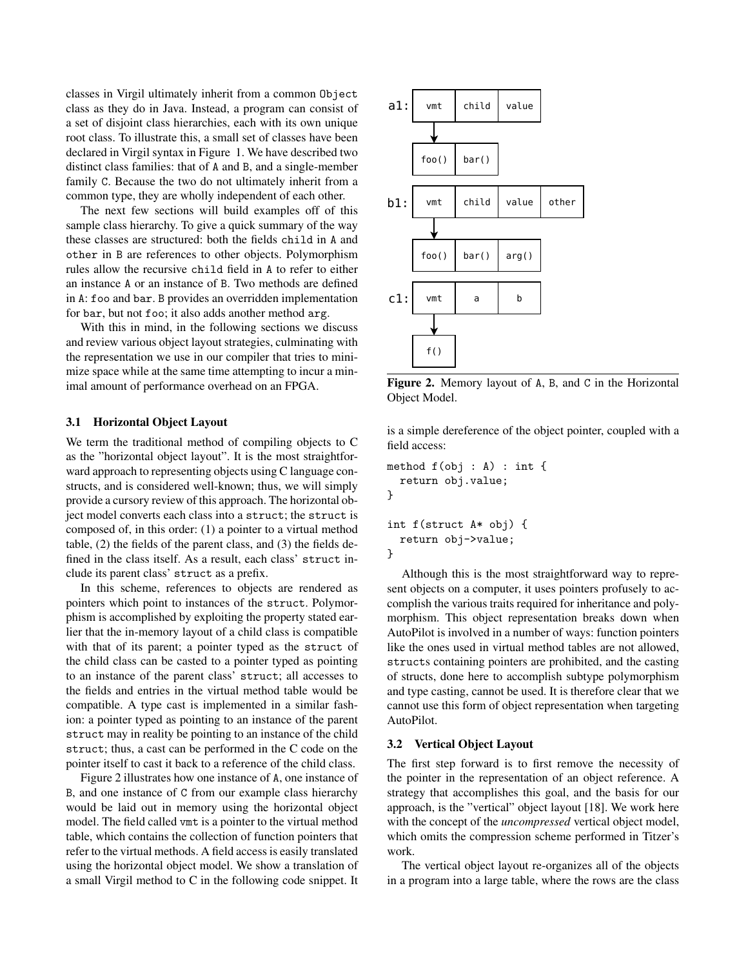classes in Virgil ultimately inherit from a common Object class as they do in Java. Instead, a program can consist of a set of disjoint class hierarchies, each with its own unique root class. To illustrate this, a small set of classes have been declared in Virgil syntax in Figure 1. We have described two distinct class families: that of A and B, and a single-member family C. Because the two do not ultimately inherit from a common type, they are wholly independent of each other.

The next few sections will build examples off of this sample class hierarchy. To give a quick summary of the way these classes are structured: both the fields child in A and other in B are references to other objects. Polymorphism rules allow the recursive child field in A to refer to either an instance A or an instance of B. Two methods are defined in A: foo and bar. B provides an overridden implementation for bar, but not foo; it also adds another method arg.

With this in mind, in the following sections we discuss and review various object layout strategies, culminating with the representation we use in our compiler that tries to minimize space while at the same time attempting to incur a minimal amount of performance overhead on an FPGA.

#### 3.1 Horizontal Object Layout

We term the traditional method of compiling objects to C as the "horizontal object layout". It is the most straightforward approach to representing objects using C language constructs, and is considered well-known; thus, we will simply provide a cursory review of this approach. The horizontal object model converts each class into a struct; the struct is composed of, in this order: (1) a pointer to a virtual method table, (2) the fields of the parent class, and (3) the fields defined in the class itself. As a result, each class' struct include its parent class' struct as a prefix.

In this scheme, references to objects are rendered as pointers which point to instances of the struct. Polymorphism is accomplished by exploiting the property stated earlier that the in-memory layout of a child class is compatible with that of its parent; a pointer typed as the struct of the child class can be casted to a pointer typed as pointing to an instance of the parent class' struct; all accesses to the fields and entries in the virtual method table would be compatible. A type cast is implemented in a similar fashion: a pointer typed as pointing to an instance of the parent struct may in reality be pointing to an instance of the child struct; thus, a cast can be performed in the C code on the pointer itself to cast it back to a reference of the child class.

Figure 2 illustrates how one instance of A, one instance of B, and one instance of C from our example class hierarchy would be laid out in memory using the horizontal object model. The field called vmt is a pointer to the virtual method table, which contains the collection of function pointers that refer to the virtual methods. A field access is easily translated using the horizontal object model. We show a translation of a small Virgil method to C in the following code snippet. It



Figure 2. Memory layout of A, B, and C in the Horizontal Object Model.

is a simple dereference of the object pointer, coupled with a field access:

```
method f(obj : A) : int {
  return obj.value;
}
int f(struct A* obj) {
  return obj->value;
}
```
Although this is the most straightforward way to represent objects on a computer, it uses pointers profusely to accomplish the various traits required for inheritance and polymorphism. This object representation breaks down when AutoPilot is involved in a number of ways: function pointers like the ones used in virtual method tables are not allowed, structs containing pointers are prohibited, and the casting of structs, done here to accomplish subtype polymorphism and type casting, cannot be used. It is therefore clear that we cannot use this form of object representation when targeting AutoPilot.

### 3.2 Vertical Object Layout

The first step forward is to first remove the necessity of the pointer in the representation of an object reference. A strategy that accomplishes this goal, and the basis for our approach, is the "vertical" object layout [18]. We work here with the concept of the *uncompressed* vertical object model, which omits the compression scheme performed in Titzer's work.

The vertical object layout re-organizes all of the objects in a program into a large table, where the rows are the class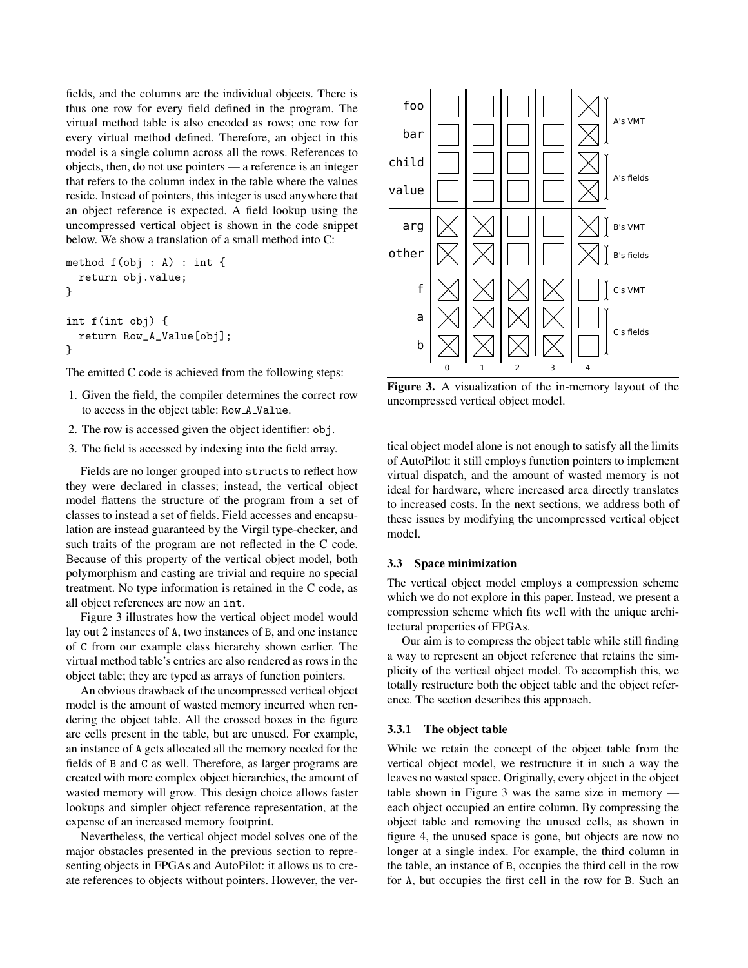fields, and the columns are the individual objects. There is thus one row for every field defined in the program. The virtual method table is also encoded as rows; one row for every virtual method defined. Therefore, an object in this model is a single column across all the rows. References to objects, then, do not use pointers — a reference is an integer that refers to the column index in the table where the values reside. Instead of pointers, this integer is used anywhere that an object reference is expected. A field lookup using the uncompressed vertical object is shown in the code snippet below. We show a translation of a small method into C:

```
method f(obj : A) : int {
 return obj.value;
}
int f(int obj) {
  return Row_A_Value[obj];
}
```
The emitted C code is achieved from the following steps:

- 1. Given the field, the compiler determines the correct row to access in the object table: Row A Value.
- 2. The row is accessed given the object identifier: obj.
- 3. The field is accessed by indexing into the field array.

Fields are no longer grouped into structs to reflect how they were declared in classes; instead, the vertical object model flattens the structure of the program from a set of classes to instead a set of fields. Field accesses and encapsulation are instead guaranteed by the Virgil type-checker, and such traits of the program are not reflected in the C code. Because of this property of the vertical object model, both polymorphism and casting are trivial and require no special treatment. No type information is retained in the C code, as all object references are now an int.

Figure 3 illustrates how the vertical object model would lay out 2 instances of A, two instances of B, and one instance of C from our example class hierarchy shown earlier. The virtual method table's entries are also rendered as rows in the object table; they are typed as arrays of function pointers.

An obvious drawback of the uncompressed vertical object model is the amount of wasted memory incurred when rendering the object table. All the crossed boxes in the figure are cells present in the table, but are unused. For example, an instance of A gets allocated all the memory needed for the fields of B and C as well. Therefore, as larger programs are created with more complex object hierarchies, the amount of wasted memory will grow. This design choice allows faster lookups and simpler object reference representation, at the expense of an increased memory footprint.

Nevertheless, the vertical object model solves one of the major obstacles presented in the previous section to representing objects in FPGAs and AutoPilot: it allows us to create references to objects without pointers. However, the ver-



Figure 3. A visualization of the in-memory layout of the uncompressed vertical object model.

tical object model alone is not enough to satisfy all the limits of AutoPilot: it still employs function pointers to implement virtual dispatch, and the amount of wasted memory is not ideal for hardware, where increased area directly translates to increased costs. In the next sections, we address both of these issues by modifying the uncompressed vertical object model.

### 3.3 Space minimization

The vertical object model employs a compression scheme which we do not explore in this paper. Instead, we present a compression scheme which fits well with the unique architectural properties of FPGAs.

Our aim is to compress the object table while still finding a way to represent an object reference that retains the simplicity of the vertical object model. To accomplish this, we totally restructure both the object table and the object reference. The section describes this approach.

#### 3.3.1 The object table

While we retain the concept of the object table from the vertical object model, we restructure it in such a way the leaves no wasted space. Originally, every object in the object table shown in Figure 3 was the same size in memory each object occupied an entire column. By compressing the object table and removing the unused cells, as shown in figure 4, the unused space is gone, but objects are now no longer at a single index. For example, the third column in the table, an instance of B, occupies the third cell in the row for A, but occupies the first cell in the row for B. Such an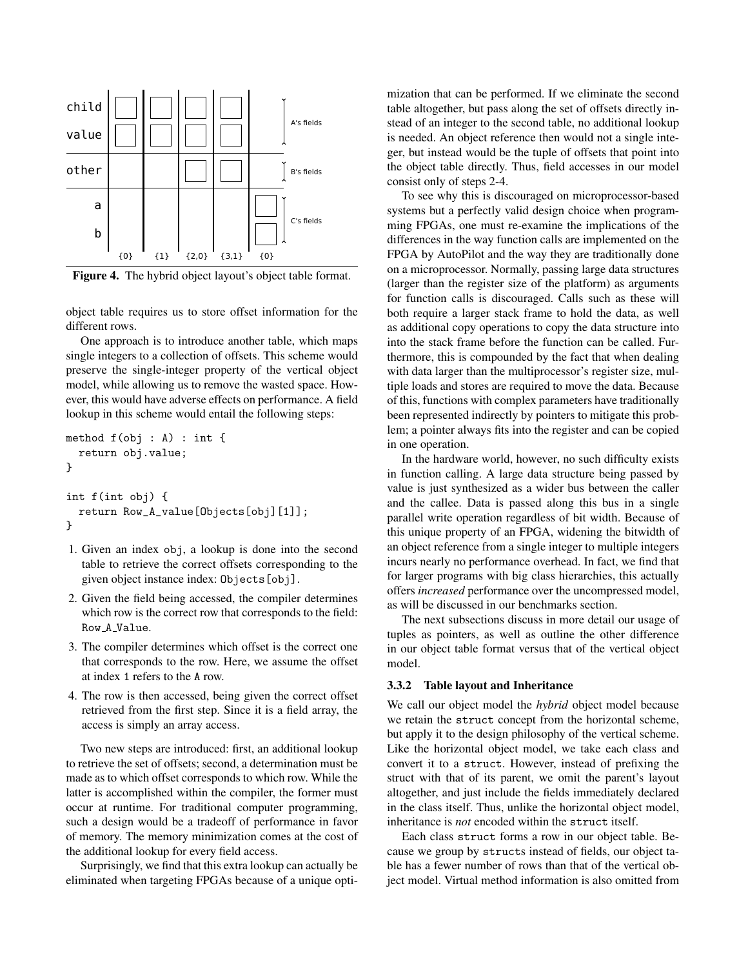

Figure 4. The hybrid object layout's object table format.

object table requires us to store offset information for the different rows.

One approach is to introduce another table, which maps single integers to a collection of offsets. This scheme would preserve the single-integer property of the vertical object model, while allowing us to remove the wasted space. However, this would have adverse effects on performance. A field lookup in this scheme would entail the following steps:

```
method f(obj : A) : int {
 return obj.value;
}
int f(int obj) {
```

```
return Row_A_value[Objects[obj][1]];
}
```
- 1. Given an index obj, a lookup is done into the second table to retrieve the correct offsets corresponding to the given object instance index: Objects[obj].
- 2. Given the field being accessed, the compiler determines which row is the correct row that corresponds to the field: Row A Value.
- 3. The compiler determines which offset is the correct one that corresponds to the row. Here, we assume the offset at index 1 refers to the A row.
- 4. The row is then accessed, being given the correct offset retrieved from the first step. Since it is a field array, the access is simply an array access.

Two new steps are introduced: first, an additional lookup to retrieve the set of offsets; second, a determination must be made as to which offset corresponds to which row. While the latter is accomplished within the compiler, the former must occur at runtime. For traditional computer programming, such a design would be a tradeoff of performance in favor of memory. The memory minimization comes at the cost of the additional lookup for every field access.

Surprisingly, we find that this extra lookup can actually be eliminated when targeting FPGAs because of a unique optimization that can be performed. If we eliminate the second table altogether, but pass along the set of offsets directly instead of an integer to the second table, no additional lookup is needed. An object reference then would not a single integer, but instead would be the tuple of offsets that point into the object table directly. Thus, field accesses in our model consist only of steps 2-4.

To see why this is discouraged on microprocessor-based systems but a perfectly valid design choice when programming FPGAs, one must re-examine the implications of the differences in the way function calls are implemented on the FPGA by AutoPilot and the way they are traditionally done on a microprocessor. Normally, passing large data structures (larger than the register size of the platform) as arguments for function calls is discouraged. Calls such as these will both require a larger stack frame to hold the data, as well as additional copy operations to copy the data structure into into the stack frame before the function can be called. Furthermore, this is compounded by the fact that when dealing with data larger than the multiprocessor's register size, multiple loads and stores are required to move the data. Because of this, functions with complex parameters have traditionally been represented indirectly by pointers to mitigate this problem; a pointer always fits into the register and can be copied in one operation.

In the hardware world, however, no such difficulty exists in function calling. A large data structure being passed by value is just synthesized as a wider bus between the caller and the callee. Data is passed along this bus in a single parallel write operation regardless of bit width. Because of this unique property of an FPGA, widening the bitwidth of an object reference from a single integer to multiple integers incurs nearly no performance overhead. In fact, we find that for larger programs with big class hierarchies, this actually offers *increased* performance over the uncompressed model, as will be discussed in our benchmarks section.

The next subsections discuss in more detail our usage of tuples as pointers, as well as outline the other difference in our object table format versus that of the vertical object model.

### 3.3.2 Table layout and Inheritance

We call our object model the *hybrid* object model because we retain the struct concept from the horizontal scheme, but apply it to the design philosophy of the vertical scheme. Like the horizontal object model, we take each class and convert it to a struct. However, instead of prefixing the struct with that of its parent, we omit the parent's layout altogether, and just include the fields immediately declared in the class itself. Thus, unlike the horizontal object model, inheritance is *not* encoded within the struct itself.

Each class struct forms a row in our object table. Because we group by structs instead of fields, our object table has a fewer number of rows than that of the vertical object model. Virtual method information is also omitted from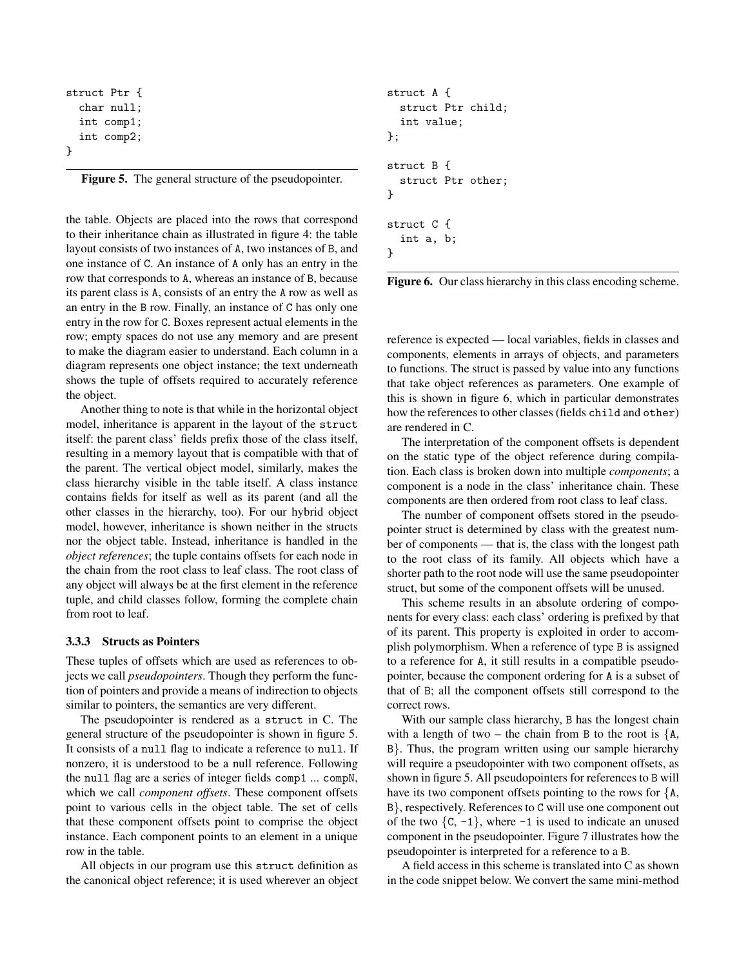```
struct Ptr {
  char null;
  int comp1;
  int comp2;
}
```
Figure 5. The general structure of the pseudopointer.

the table. Objects are placed into the rows that correspond to their inheritance chain as illustrated in figure 4: the table layout consists of two instances of A, two instances of B, and one instance of C. An instance of A only has an entry in the row that corresponds to A, whereas an instance of B, because its parent class is A, consists of an entry the A row as well as an entry in the B row. Finally, an instance of C has only one entry in the row for C. Boxes represent actual elements in the row; empty spaces do not use any memory and are present to make the diagram easier to understand. Each column in a diagram represents one object instance; the text underneath shows the tuple of offsets required to accurately reference the object.

Another thing to note is that while in the horizontal object model, inheritance is apparent in the layout of the struct itself: the parent class' fields prefix those of the class itself, resulting in a memory layout that is compatible with that of the parent. The vertical object model, similarly, makes the class hierarchy visible in the table itself. A class instance contains fields for itself as well as its parent (and all the other classes in the hierarchy, too). For our hybrid object model, however, inheritance is shown neither in the structs nor the object table. Instead, inheritance is handled in the *object references*; the tuple contains offsets for each node in the chain from the root class to leaf class. The root class of any object will always be at the first element in the reference tuple, and child classes follow, forming the complete chain from root to leaf.

### 3.3.3 Structs as Pointers

These tuples of offsets which are used as references to objects we call *pseudopointers*. Though they perform the function of pointers and provide a means of indirection to objects similar to pointers, the semantics are very different.

The pseudopointer is rendered as a struct in C. The general structure of the pseudopointer is shown in figure 5. It consists of a null flag to indicate a reference to null. If nonzero, it is understood to be a null reference. Following the null flag are a series of integer fields comp1 ... compN, which we call *component offsets*. These component offsets point to various cells in the object table. The set of cells that these component offsets point to comprise the object instance. Each component points to an element in a unique row in the table.

All objects in our program use this struct definition as the canonical object reference; it is used wherever an object

```
struct A {
  struct Ptr child;
  int value;
};
struct B {
  struct Ptr other;
}
struct C {
  int a, b;
}
```
Figure 6. Our class hierarchy in this class encoding scheme.

reference is expected — local variables, fields in classes and components, elements in arrays of objects, and parameters to functions. The struct is passed by value into any functions that take object references as parameters. One example of this is shown in figure 6, which in particular demonstrates how the references to other classes (fields child and other) are rendered in C.

The interpretation of the component offsets is dependent on the static type of the object reference during compilation. Each class is broken down into multiple *components*; a component is a node in the class' inheritance chain. These components are then ordered from root class to leaf class.

The number of component offsets stored in the pseudopointer struct is determined by class with the greatest number of components — that is, the class with the longest path to the root class of its family. All objects which have a shorter path to the root node will use the same pseudopointer struct, but some of the component offsets will be unused.

This scheme results in an absolute ordering of components for every class: each class' ordering is prefixed by that of its parent. This property is exploited in order to accomplish polymorphism. When a reference of type B is assigned to a reference for A, it still results in a compatible pseudopointer, because the component ordering for A is a subset of that of B; all the component offsets still correspond to the correct rows.

With our sample class hierarchy, B has the longest chain with a length of two – the chain from B to the root is  ${A$ , B}. Thus, the program written using our sample hierarchy will require a pseudopointer with two component offsets, as shown in figure 5. All pseudopointers for references to B will have its two component offsets pointing to the rows for {A, B}, respectively. References to C will use one component out of the two  $\{C, -1\}$ , where  $-1$  is used to indicate an unused component in the pseudopointer. Figure 7 illustrates how the pseudopointer is interpreted for a reference to a B.

A field access in this scheme is translated into C as shown in the code snippet below. We convert the same mini-method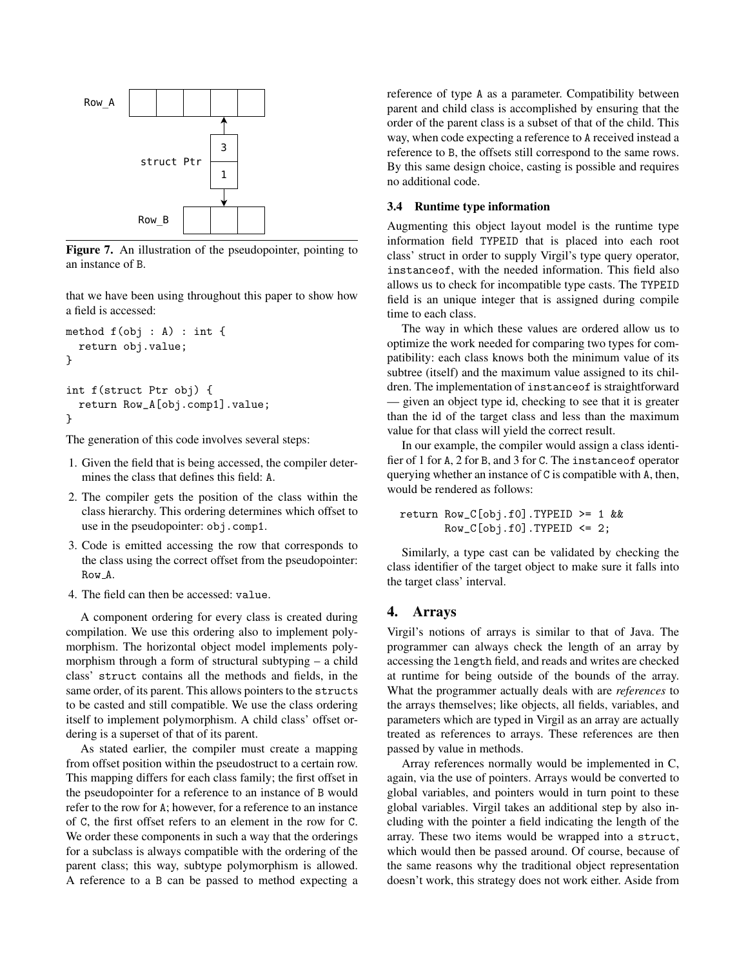

Figure 7. An illustration of the pseudopointer, pointing to an instance of B.

that we have been using throughout this paper to show how a field is accessed:

```
method f(obj : A) : int {
 return obj.value;
}
int f(struct Ptr obj) {
```

```
return Row_A[obj.comp1].value;
}
```
The generation of this code involves several steps:

- 1. Given the field that is being accessed, the compiler determines the class that defines this field: A.
- 2. The compiler gets the position of the class within the class hierarchy. This ordering determines which offset to use in the pseudopointer: obj.comp1.
- 3. Code is emitted accessing the row that corresponds to the class using the correct offset from the pseudopointer: Row A.
- 4. The field can then be accessed: value.

A component ordering for every class is created during compilation. We use this ordering also to implement polymorphism. The horizontal object model implements polymorphism through a form of structural subtyping – a child class' struct contains all the methods and fields, in the same order, of its parent. This allows pointers to the structs to be casted and still compatible. We use the class ordering itself to implement polymorphism. A child class' offset ordering is a superset of that of its parent.

As stated earlier, the compiler must create a mapping from offset position within the pseudostruct to a certain row. This mapping differs for each class family; the first offset in the pseudopointer for a reference to an instance of B would refer to the row for A; however, for a reference to an instance of C, the first offset refers to an element in the row for C. We order these components in such a way that the orderings for a subclass is always compatible with the ordering of the parent class; this way, subtype polymorphism is allowed. A reference to a B can be passed to method expecting a reference of type A as a parameter. Compatibility between parent and child class is accomplished by ensuring that the order of the parent class is a subset of that of the child. This way, when code expecting a reference to A received instead a reference to B, the offsets still correspond to the same rows. By this same design choice, casting is possible and requires no additional code.

### 3.4 Runtime type information

Augmenting this object layout model is the runtime type information field TYPEID that is placed into each root class' struct in order to supply Virgil's type query operator, instanceof, with the needed information. This field also allows us to check for incompatible type casts. The TYPEID field is an unique integer that is assigned during compile time to each class.

The way in which these values are ordered allow us to optimize the work needed for comparing two types for compatibility: each class knows both the minimum value of its subtree (itself) and the maximum value assigned to its children. The implementation of instanceof is straightforward — given an object type id, checking to see that it is greater than the id of the target class and less than the maximum value for that class will yield the correct result.

In our example, the compiler would assign a class identifier of 1 for A, 2 for B, and 3 for C. The instanceof operator querying whether an instance of C is compatible with A, then, would be rendered as follows:

```
return Row_C[obj.f0].TYPEID >= 1 &&
       Row_C[obj.f0].TYPEID \leq 2;
```
Similarly, a type cast can be validated by checking the class identifier of the target object to make sure it falls into the target class' interval.

# 4. Arrays

Virgil's notions of arrays is similar to that of Java. The programmer can always check the length of an array by accessing the length field, and reads and writes are checked at runtime for being outside of the bounds of the array. What the programmer actually deals with are *references* to the arrays themselves; like objects, all fields, variables, and parameters which are typed in Virgil as an array are actually treated as references to arrays. These references are then passed by value in methods.

Array references normally would be implemented in C, again, via the use of pointers. Arrays would be converted to global variables, and pointers would in turn point to these global variables. Virgil takes an additional step by also including with the pointer a field indicating the length of the array. These two items would be wrapped into a struct, which would then be passed around. Of course, because of the same reasons why the traditional object representation doesn't work, this strategy does not work either. Aside from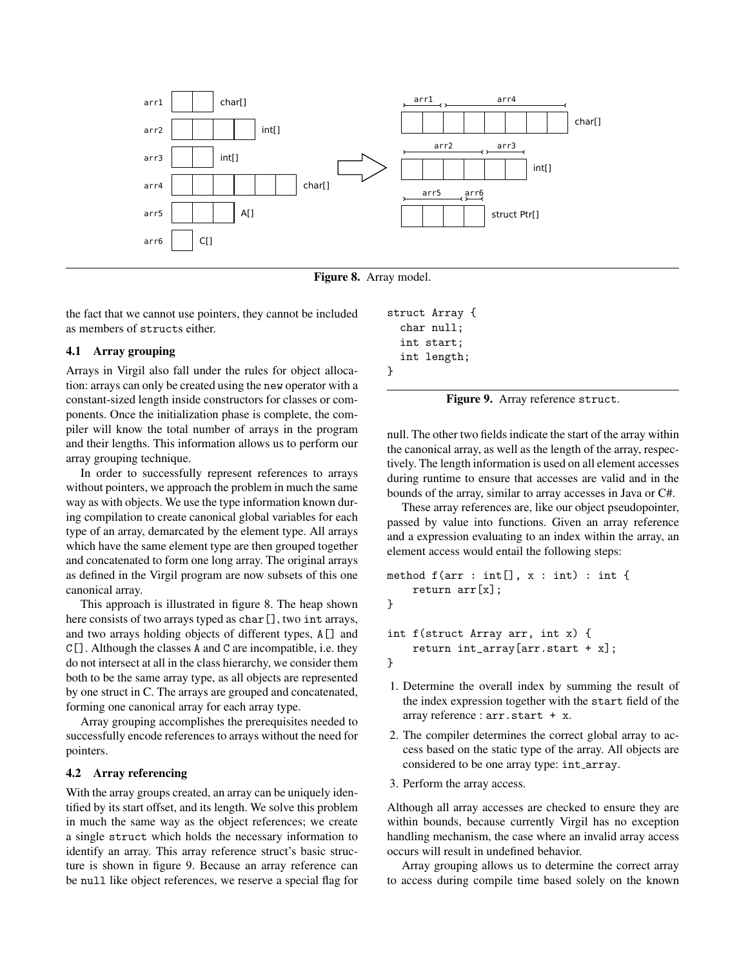

Figure 8. Array model.

the fact that we cannot use pointers, they cannot be included as members of structs either.

### 4.1 Array grouping

Arrays in Virgil also fall under the rules for object allocation: arrays can only be created using the new operator with a constant-sized length inside constructors for classes or components. Once the initialization phase is complete, the compiler will know the total number of arrays in the program and their lengths. This information allows us to perform our array grouping technique.

In order to successfully represent references to arrays without pointers, we approach the problem in much the same way as with objects. We use the type information known during compilation to create canonical global variables for each type of an array, demarcated by the element type. All arrays which have the same element type are then grouped together and concatenated to form one long array. The original arrays as defined in the Virgil program are now subsets of this one canonical array.

This approach is illustrated in figure 8. The heap shown here consists of two arrays typed as char [], two int arrays, and two arrays holding objects of different types, A[] and C[]. Although the classes A and C are incompatible, i.e. they do not intersect at all in the class hierarchy, we consider them both to be the same array type, as all objects are represented by one struct in C. The arrays are grouped and concatenated, forming one canonical array for each array type.

Array grouping accomplishes the prerequisites needed to successfully encode references to arrays without the need for pointers.

#### 4.2 Array referencing

With the array groups created, an array can be uniquely identified by its start offset, and its length. We solve this problem in much the same way as the object references; we create a single struct which holds the necessary information to identify an array. This array reference struct's basic structure is shown in figure 9. Because an array reference can be null like object references, we reserve a special flag for

```
struct Array {
  char null;
  int start;
  int length;
}
```
Figure 9. Array reference struct.

null. The other two fields indicate the start of the array within the canonical array, as well as the length of the array, respectively. The length information is used on all element accesses during runtime to ensure that accesses are valid and in the bounds of the array, similar to array accesses in Java or C#.

These array references are, like our object pseudopointer, passed by value into functions. Given an array reference and a expression evaluating to an index within the array, an element access would entail the following steps:

```
method f(\text{arr} : \text{int}[], x : \text{int}) : \text{int}return arr[x];
}
int f(struct Array arr, int x) {
```

```
return int_array[arr.start + x];
}
```
- 1. Determine the overall index by summing the result of the index expression together with the start field of the array reference : arr.start + x.
- 2. The compiler determines the correct global array to access based on the static type of the array. All objects are considered to be one array type: int\_array.
- 3. Perform the array access.

Although all array accesses are checked to ensure they are within bounds, because currently Virgil has no exception handling mechanism, the case where an invalid array access occurs will result in undefined behavior.

Array grouping allows us to determine the correct array to access during compile time based solely on the known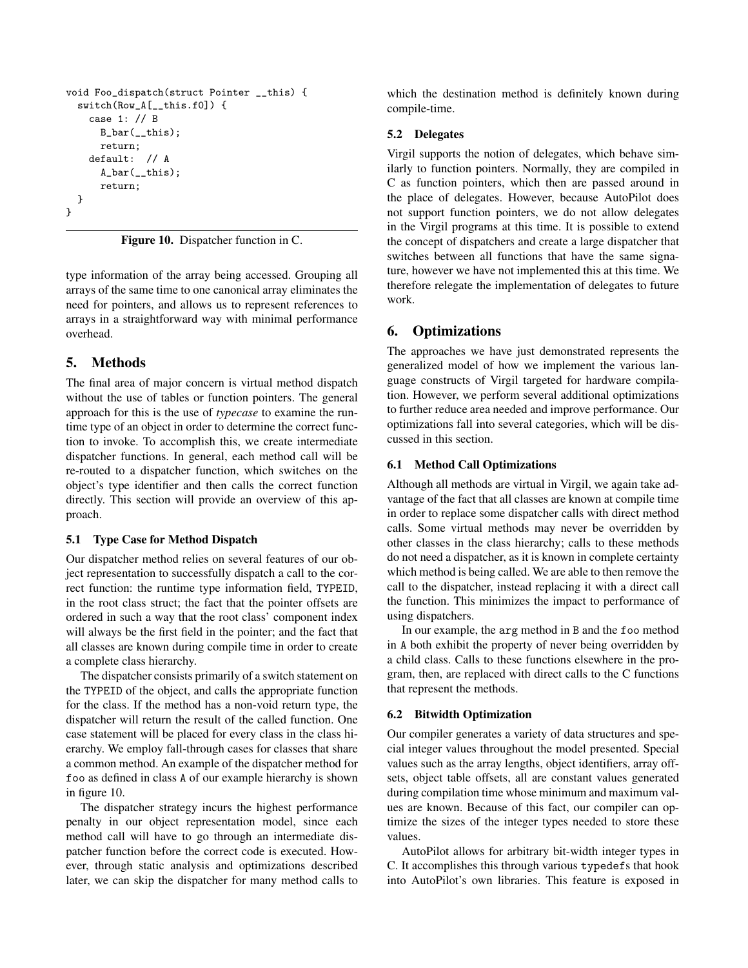```
void Foo_dispatch(struct Pointer __this) {
  switch(Row_A[__this.f0]) {
    case 1: // B
      B_bar(_this);return;
    default: // A
      A_bar(__this);
      return;
 }
}
```
Figure 10. Dispatcher function in C.

type information of the array being accessed. Grouping all arrays of the same time to one canonical array eliminates the need for pointers, and allows us to represent references to arrays in a straightforward way with minimal performance overhead.

# 5. Methods

The final area of major concern is virtual method dispatch without the use of tables or function pointers. The general approach for this is the use of *typecase* to examine the runtime type of an object in order to determine the correct function to invoke. To accomplish this, we create intermediate dispatcher functions. In general, each method call will be re-routed to a dispatcher function, which switches on the object's type identifier and then calls the correct function directly. This section will provide an overview of this approach.

### 5.1 Type Case for Method Dispatch

Our dispatcher method relies on several features of our object representation to successfully dispatch a call to the correct function: the runtime type information field, TYPEID, in the root class struct; the fact that the pointer offsets are ordered in such a way that the root class' component index will always be the first field in the pointer; and the fact that all classes are known during compile time in order to create a complete class hierarchy.

The dispatcher consists primarily of a switch statement on the TYPEID of the object, and calls the appropriate function for the class. If the method has a non-void return type, the dispatcher will return the result of the called function. One case statement will be placed for every class in the class hierarchy. We employ fall-through cases for classes that share a common method. An example of the dispatcher method for foo as defined in class A of our example hierarchy is shown in figure 10.

The dispatcher strategy incurs the highest performance penalty in our object representation model, since each method call will have to go through an intermediate dispatcher function before the correct code is executed. However, through static analysis and optimizations described later, we can skip the dispatcher for many method calls to

which the destination method is definitely known during compile-time.

### 5.2 Delegates

Virgil supports the notion of delegates, which behave similarly to function pointers. Normally, they are compiled in C as function pointers, which then are passed around in the place of delegates. However, because AutoPilot does not support function pointers, we do not allow delegates in the Virgil programs at this time. It is possible to extend the concept of dispatchers and create a large dispatcher that switches between all functions that have the same signature, however we have not implemented this at this time. We therefore relegate the implementation of delegates to future work.

# 6. Optimizations

The approaches we have just demonstrated represents the generalized model of how we implement the various language constructs of Virgil targeted for hardware compilation. However, we perform several additional optimizations to further reduce area needed and improve performance. Our optimizations fall into several categories, which will be discussed in this section.

### 6.1 Method Call Optimizations

Although all methods are virtual in Virgil, we again take advantage of the fact that all classes are known at compile time in order to replace some dispatcher calls with direct method calls. Some virtual methods may never be overridden by other classes in the class hierarchy; calls to these methods do not need a dispatcher, as it is known in complete certainty which method is being called. We are able to then remove the call to the dispatcher, instead replacing it with a direct call the function. This minimizes the impact to performance of using dispatchers.

In our example, the arg method in B and the foo method in A both exhibit the property of never being overridden by a child class. Calls to these functions elsewhere in the program, then, are replaced with direct calls to the C functions that represent the methods.

### 6.2 Bitwidth Optimization

Our compiler generates a variety of data structures and special integer values throughout the model presented. Special values such as the array lengths, object identifiers, array offsets, object table offsets, all are constant values generated during compilation time whose minimum and maximum values are known. Because of this fact, our compiler can optimize the sizes of the integer types needed to store these values.

AutoPilot allows for arbitrary bit-width integer types in C. It accomplishes this through various typedefs that hook into AutoPilot's own libraries. This feature is exposed in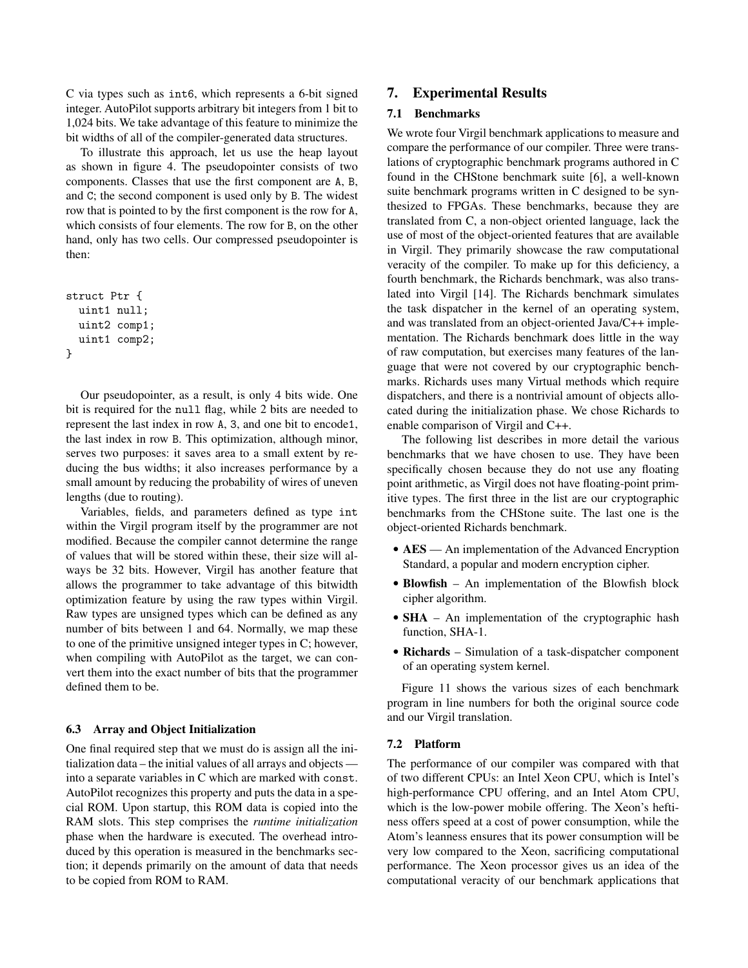C via types such as int6, which represents a 6-bit signed integer. AutoPilot supports arbitrary bit integers from 1 bit to 1,024 bits. We take advantage of this feature to minimize the bit widths of all of the compiler-generated data structures.

To illustrate this approach, let us use the heap layout as shown in figure 4. The pseudopointer consists of two components. Classes that use the first component are A, B, and C; the second component is used only by B. The widest row that is pointed to by the first component is the row for A, which consists of four elements. The row for B, on the other hand, only has two cells. Our compressed pseudopointer is then:

```
struct Ptr {
 uint1 null;
 uint2 comp1;
 uint1 comp2;
}
```
Our pseudopointer, as a result, is only 4 bits wide. One bit is required for the null flag, while 2 bits are needed to represent the last index in row A, 3, and one bit to encode1, the last index in row B. This optimization, although minor, serves two purposes: it saves area to a small extent by reducing the bus widths; it also increases performance by a small amount by reducing the probability of wires of uneven lengths (due to routing).

Variables, fields, and parameters defined as type int within the Virgil program itself by the programmer are not modified. Because the compiler cannot determine the range of values that will be stored within these, their size will always be 32 bits. However, Virgil has another feature that allows the programmer to take advantage of this bitwidth optimization feature by using the raw types within Virgil. Raw types are unsigned types which can be defined as any number of bits between 1 and 64. Normally, we map these to one of the primitive unsigned integer types in C; however, when compiling with AutoPilot as the target, we can convert them into the exact number of bits that the programmer defined them to be.

### 6.3 Array and Object Initialization

One final required step that we must do is assign all the initialization data – the initial values of all arrays and objects into a separate variables in C which are marked with const. AutoPilot recognizes this property and puts the data in a special ROM. Upon startup, this ROM data is copied into the RAM slots. This step comprises the *runtime initialization* phase when the hardware is executed. The overhead introduced by this operation is measured in the benchmarks section; it depends primarily on the amount of data that needs to be copied from ROM to RAM.

# 7. Experimental Results

# 7.1 Benchmarks

We wrote four Virgil benchmark applications to measure and compare the performance of our compiler. Three were translations of cryptographic benchmark programs authored in C found in the CHStone benchmark suite [6], a well-known suite benchmark programs written in C designed to be synthesized to FPGAs. These benchmarks, because they are translated from C, a non-object oriented language, lack the use of most of the object-oriented features that are available in Virgil. They primarily showcase the raw computational veracity of the compiler. To make up for this deficiency, a fourth benchmark, the Richards benchmark, was also translated into Virgil [14]. The Richards benchmark simulates the task dispatcher in the kernel of an operating system, and was translated from an object-oriented Java/C++ implementation. The Richards benchmark does little in the way of raw computation, but exercises many features of the language that were not covered by our cryptographic benchmarks. Richards uses many Virtual methods which require dispatchers, and there is a nontrivial amount of objects allocated during the initialization phase. We chose Richards to enable comparison of Virgil and C++.

The following list describes in more detail the various benchmarks that we have chosen to use. They have been specifically chosen because they do not use any floating point arithmetic, as Virgil does not have floating-point primitive types. The first three in the list are our cryptographic benchmarks from the CHStone suite. The last one is the object-oriented Richards benchmark.

- AES An implementation of the Advanced Encryption Standard, a popular and modern encryption cipher.
- Blowfish An implementation of the Blowfish block cipher algorithm.
- **SHA** An implementation of the cryptographic hash function, SHA-1.
- Richards Simulation of a task-dispatcher component of an operating system kernel.

Figure 11 shows the various sizes of each benchmark program in line numbers for both the original source code and our Virgil translation.

### 7.2 Platform

The performance of our compiler was compared with that of two different CPUs: an Intel Xeon CPU, which is Intel's high-performance CPU offering, and an Intel Atom CPU, which is the low-power mobile offering. The Xeon's heftiness offers speed at a cost of power consumption, while the Atom's leanness ensures that its power consumption will be very low compared to the Xeon, sacrificing computational performance. The Xeon processor gives us an idea of the computational veracity of our benchmark applications that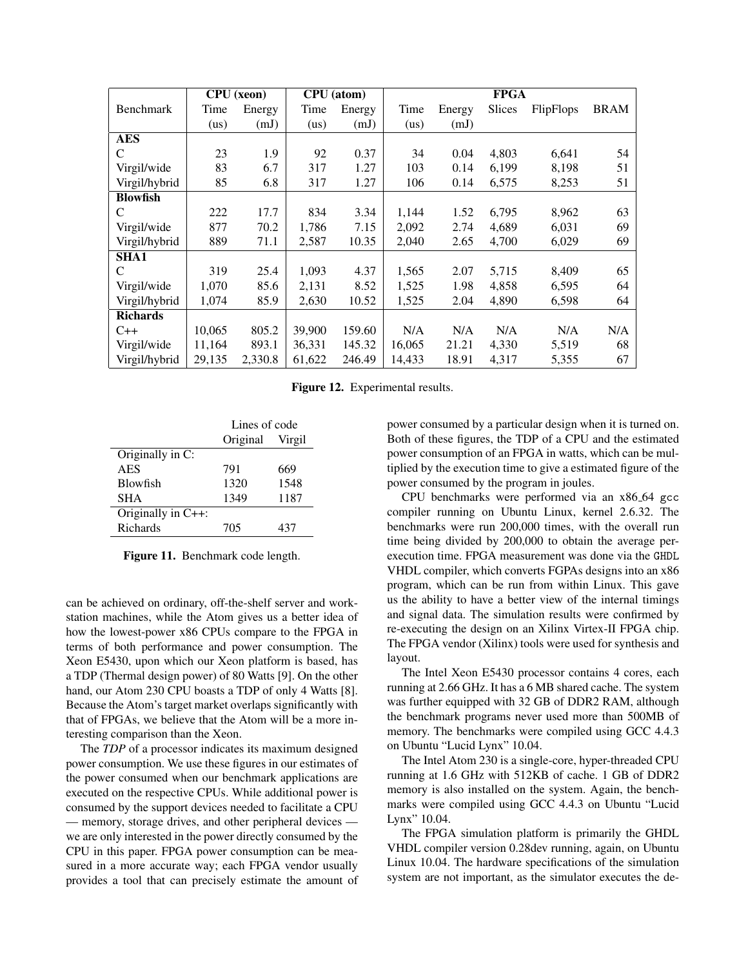|                 | <b>CPU</b> (xeon) |         | <b>CPU</b> (atom) |        | <b>FPGA</b> |        |               |                  |             |
|-----------------|-------------------|---------|-------------------|--------|-------------|--------|---------------|------------------|-------------|
| Benchmark       | Time              | Energy  | Time              | Energy | Time        | Energy | <b>Slices</b> | <b>FlipFlops</b> | <b>BRAM</b> |
|                 | (us)              | (mJ)    | (us)              | (mJ)   | (us)        | (mJ)   |               |                  |             |
| <b>AES</b>      |                   |         |                   |        |             |        |               |                  |             |
| C               | 23                | 1.9     | 92                | 0.37   | 34          | 0.04   | 4,803         | 6,641            | 54          |
| Virgil/wide     | 83                | 6.7     | 317               | 1.27   | 103         | 0.14   | 6,199         | 8,198            | 51          |
| Virgil/hybrid   | 85                | 6.8     | 317               | 1.27   | 106         | 0.14   | 6,575         | 8,253            | 51          |
| <b>Blowfish</b> |                   |         |                   |        |             |        |               |                  |             |
| C               | 222               | 17.7    | 834               | 3.34   | 1,144       | 1.52   | 6,795         | 8.962            | 63          |
| Virgil/wide     | 877               | 70.2    | 1,786             | 7.15   | 2,092       | 2.74   | 4,689         | 6,031            | 69          |
| Virgil/hybrid   | 889               | 71.1    | 2,587             | 10.35  | 2,040       | 2.65   | 4,700         | 6,029            | 69          |
| <b>SHA1</b>     |                   |         |                   |        |             |        |               |                  |             |
| C               | 319               | 25.4    | 1,093             | 4.37   | 1,565       | 2.07   | 5,715         | 8,409            | 65          |
| Virgil/wide     | 1,070             | 85.6    | 2,131             | 8.52   | 1,525       | 1.98   | 4,858         | 6,595            | 64          |
| Virgil/hybrid   | 1,074             | 85.9    | 2,630             | 10.52  | 1,525       | 2.04   | 4,890         | 6,598            | 64          |
| <b>Richards</b> |                   |         |                   |        |             |        |               |                  |             |
| $C++$           | 10,065            | 805.2   | 39,900            | 159.60 | N/A         | N/A    | N/A           | N/A              | N/A         |
| Virgil/wide     | 11,164            | 893.1   | 36,331            | 145.32 | 16,065      | 21.21  | 4,330         | 5,519            | 68          |
| Virgil/hybrid   | 29,135            | 2,330.8 | 61,622            | 246.49 | 14,433      | 18.91  | 4,317         | 5,355            | 67          |

Figure 12. Experimental results.

|                       | Lines of code |        |  |
|-----------------------|---------------|--------|--|
|                       | Original      | Virgil |  |
| Originally in C:      |               |        |  |
| <b>AES</b>            | 791           | 669    |  |
| <b>Blowfish</b>       | 1320          | 1548   |  |
| <b>SHA</b>            | 1349          | 1187   |  |
| Originally in $C++$ : |               |        |  |
| Richards              | 705           | 437    |  |
|                       |               |        |  |

Figure 11. Benchmark code length.

can be achieved on ordinary, off-the-shelf server and workstation machines, while the Atom gives us a better idea of how the lowest-power x86 CPUs compare to the FPGA in terms of both performance and power consumption. The Xeon E5430, upon which our Xeon platform is based, has a TDP (Thermal design power) of 80 Watts [9]. On the other hand, our Atom 230 CPU boasts a TDP of only 4 Watts [8]. Because the Atom's target market overlaps significantly with that of FPGAs, we believe that the Atom will be a more interesting comparison than the Xeon.

The *TDP* of a processor indicates its maximum designed power consumption. We use these figures in our estimates of the power consumed when our benchmark applications are executed on the respective CPUs. While additional power is consumed by the support devices needed to facilitate a CPU — memory, storage drives, and other peripheral devices we are only interested in the power directly consumed by the CPU in this paper. FPGA power consumption can be measured in a more accurate way; each FPGA vendor usually provides a tool that can precisely estimate the amount of

power consumed by a particular design when it is turned on. Both of these figures, the TDP of a CPU and the estimated power consumption of an FPGA in watts, which can be multiplied by the execution time to give a estimated figure of the power consumed by the program in joules.

CPU benchmarks were performed via an x86 64 gcc compiler running on Ubuntu Linux, kernel 2.6.32. The benchmarks were run 200,000 times, with the overall run time being divided by 200,000 to obtain the average perexecution time. FPGA measurement was done via the GHDL VHDL compiler, which converts FGPAs designs into an x86 program, which can be run from within Linux. This gave us the ability to have a better view of the internal timings and signal data. The simulation results were confirmed by re-executing the design on an Xilinx Virtex-II FPGA chip. The FPGA vendor (Xilinx) tools were used for synthesis and layout.

The Intel Xeon E5430 processor contains 4 cores, each running at 2.66 GHz. It has a 6 MB shared cache. The system was further equipped with 32 GB of DDR2 RAM, although the benchmark programs never used more than 500MB of memory. The benchmarks were compiled using GCC 4.4.3 on Ubuntu "Lucid Lynx" 10.04.

The Intel Atom 230 is a single-core, hyper-threaded CPU running at 1.6 GHz with 512KB of cache. 1 GB of DDR2 memory is also installed on the system. Again, the benchmarks were compiled using GCC 4.4.3 on Ubuntu "Lucid Lynx" 10.04.

The FPGA simulation platform is primarily the GHDL VHDL compiler version 0.28dev running, again, on Ubuntu Linux 10.04. The hardware specifications of the simulation system are not important, as the simulator executes the de-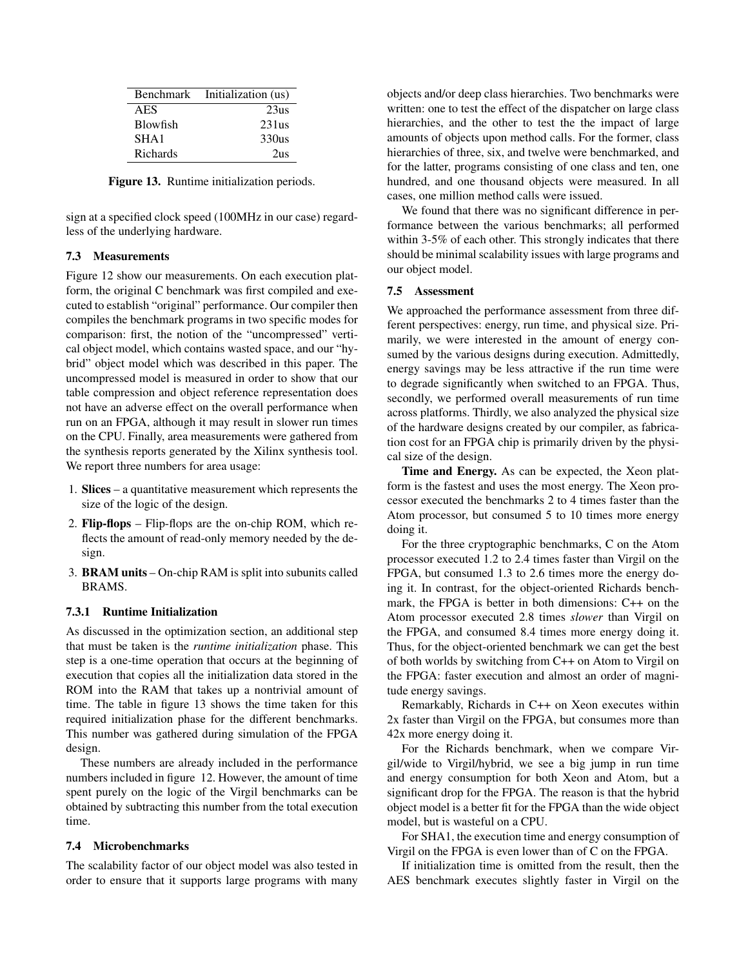|                  | Benchmark Initialization (us) |
|------------------|-------------------------------|
| AES              | 23us                          |
| Blowfish         | 231us                         |
| SHA <sub>1</sub> | 330us                         |
| Richards         | $2u$ s                        |

Figure 13. Runtime initialization periods.

sign at a specified clock speed (100MHz in our case) regardless of the underlying hardware.

### 7.3 Measurements

Figure 12 show our measurements. On each execution platform, the original C benchmark was first compiled and executed to establish "original" performance. Our compiler then compiles the benchmark programs in two specific modes for comparison: first, the notion of the "uncompressed" vertical object model, which contains wasted space, and our "hybrid" object model which was described in this paper. The uncompressed model is measured in order to show that our table compression and object reference representation does not have an adverse effect on the overall performance when run on an FPGA, although it may result in slower run times on the CPU. Finally, area measurements were gathered from the synthesis reports generated by the Xilinx synthesis tool. We report three numbers for area usage:

- 1. Slices a quantitative measurement which represents the size of the logic of the design.
- 2. Flip-flops Flip-flops are the on-chip ROM, which reflects the amount of read-only memory needed by the design.
- 3. BRAM units On-chip RAM is split into subunits called BRAMS.

### 7.3.1 Runtime Initialization

As discussed in the optimization section, an additional step that must be taken is the *runtime initialization* phase. This step is a one-time operation that occurs at the beginning of execution that copies all the initialization data stored in the ROM into the RAM that takes up a nontrivial amount of time. The table in figure 13 shows the time taken for this required initialization phase for the different benchmarks. This number was gathered during simulation of the FPGA design.

These numbers are already included in the performance numbers included in figure 12. However, the amount of time spent purely on the logic of the Virgil benchmarks can be obtained by subtracting this number from the total execution time.

# 7.4 Microbenchmarks

The scalability factor of our object model was also tested in order to ensure that it supports large programs with many

objects and/or deep class hierarchies. Two benchmarks were written: one to test the effect of the dispatcher on large class hierarchies, and the other to test the the impact of large amounts of objects upon method calls. For the former, class hierarchies of three, six, and twelve were benchmarked, and for the latter, programs consisting of one class and ten, one hundred, and one thousand objects were measured. In all cases, one million method calls were issued.

We found that there was no significant difference in performance between the various benchmarks; all performed within 3-5% of each other. This strongly indicates that there should be minimal scalability issues with large programs and our object model.

### 7.5 Assessment

We approached the performance assessment from three different perspectives: energy, run time, and physical size. Primarily, we were interested in the amount of energy consumed by the various designs during execution. Admittedly, energy savings may be less attractive if the run time were to degrade significantly when switched to an FPGA. Thus, secondly, we performed overall measurements of run time across platforms. Thirdly, we also analyzed the physical size of the hardware designs created by our compiler, as fabrication cost for an FPGA chip is primarily driven by the physical size of the design.

Time and Energy. As can be expected, the Xeon platform is the fastest and uses the most energy. The Xeon processor executed the benchmarks 2 to 4 times faster than the Atom processor, but consumed 5 to 10 times more energy doing it.

For the three cryptographic benchmarks, C on the Atom processor executed 1.2 to 2.4 times faster than Virgil on the FPGA, but consumed 1.3 to 2.6 times more the energy doing it. In contrast, for the object-oriented Richards benchmark, the FPGA is better in both dimensions: C++ on the Atom processor executed 2.8 times *slower* than Virgil on the FPGA, and consumed 8.4 times more energy doing it. Thus, for the object-oriented benchmark we can get the best of both worlds by switching from C++ on Atom to Virgil on the FPGA: faster execution and almost an order of magnitude energy savings.

Remarkably, Richards in C++ on Xeon executes within 2x faster than Virgil on the FPGA, but consumes more than 42x more energy doing it.

For the Richards benchmark, when we compare Virgil/wide to Virgil/hybrid, we see a big jump in run time and energy consumption for both Xeon and Atom, but a significant drop for the FPGA. The reason is that the hybrid object model is a better fit for the FPGA than the wide object model, but is wasteful on a CPU.

For SHA1, the execution time and energy consumption of Virgil on the FPGA is even lower than of C on the FPGA.

If initialization time is omitted from the result, then the AES benchmark executes slightly faster in Virgil on the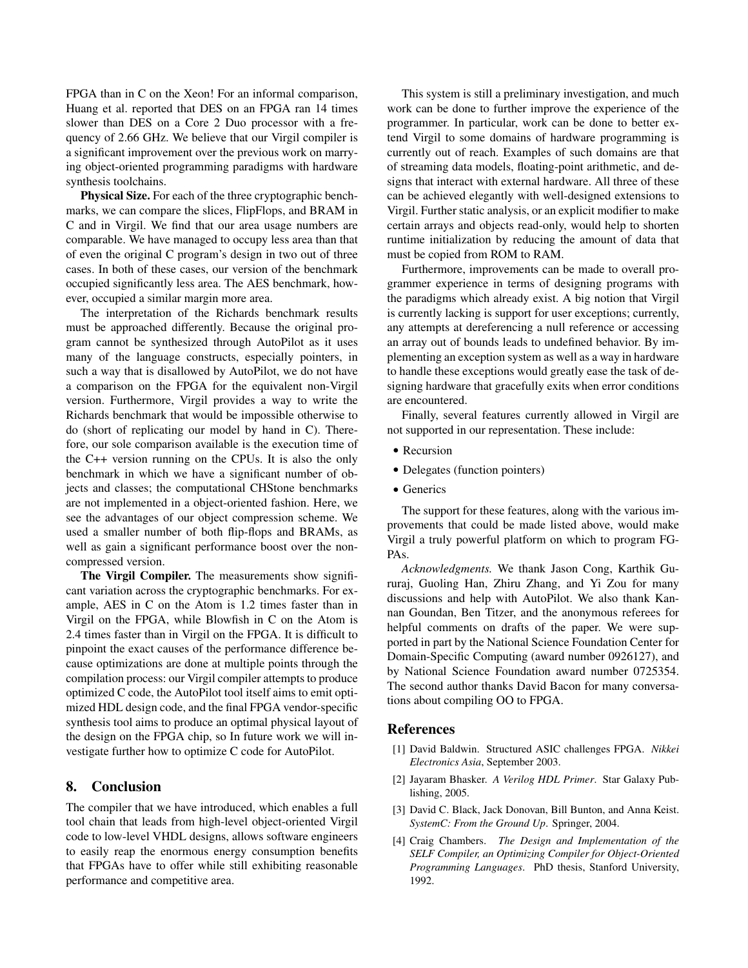FPGA than in C on the Xeon! For an informal comparison, Huang et al. reported that DES on an FPGA ran 14 times slower than DES on a Core 2 Duo processor with a frequency of 2.66 GHz. We believe that our Virgil compiler is a significant improvement over the previous work on marrying object-oriented programming paradigms with hardware synthesis toolchains.

Physical Size. For each of the three cryptographic benchmarks, we can compare the slices, FlipFlops, and BRAM in C and in Virgil. We find that our area usage numbers are comparable. We have managed to occupy less area than that of even the original C program's design in two out of three cases. In both of these cases, our version of the benchmark occupied significantly less area. The AES benchmark, however, occupied a similar margin more area.

The interpretation of the Richards benchmark results must be approached differently. Because the original program cannot be synthesized through AutoPilot as it uses many of the language constructs, especially pointers, in such a way that is disallowed by AutoPilot, we do not have a comparison on the FPGA for the equivalent non-Virgil version. Furthermore, Virgil provides a way to write the Richards benchmark that would be impossible otherwise to do (short of replicating our model by hand in C). Therefore, our sole comparison available is the execution time of the C++ version running on the CPUs. It is also the only benchmark in which we have a significant number of objects and classes; the computational CHStone benchmarks are not implemented in a object-oriented fashion. Here, we see the advantages of our object compression scheme. We used a smaller number of both flip-flops and BRAMs, as well as gain a significant performance boost over the noncompressed version.

The Virgil Compiler. The measurements show significant variation across the cryptographic benchmarks. For example, AES in C on the Atom is 1.2 times faster than in Virgil on the FPGA, while Blowfish in C on the Atom is 2.4 times faster than in Virgil on the FPGA. It is difficult to pinpoint the exact causes of the performance difference because optimizations are done at multiple points through the compilation process: our Virgil compiler attempts to produce optimized C code, the AutoPilot tool itself aims to emit optimized HDL design code, and the final FPGA vendor-specific synthesis tool aims to produce an optimal physical layout of the design on the FPGA chip, so In future work we will investigate further how to optimize C code for AutoPilot.

# 8. Conclusion

The compiler that we have introduced, which enables a full tool chain that leads from high-level object-oriented Virgil code to low-level VHDL designs, allows software engineers to easily reap the enormous energy consumption benefits that FPGAs have to offer while still exhibiting reasonable performance and competitive area.

This system is still a preliminary investigation, and much work can be done to further improve the experience of the programmer. In particular, work can be done to better extend Virgil to some domains of hardware programming is currently out of reach. Examples of such domains are that of streaming data models, floating-point arithmetic, and designs that interact with external hardware. All three of these can be achieved elegantly with well-designed extensions to Virgil. Further static analysis, or an explicit modifier to make certain arrays and objects read-only, would help to shorten runtime initialization by reducing the amount of data that must be copied from ROM to RAM.

Furthermore, improvements can be made to overall programmer experience in terms of designing programs with the paradigms which already exist. A big notion that Virgil is currently lacking is support for user exceptions; currently, any attempts at dereferencing a null reference or accessing an array out of bounds leads to undefined behavior. By implementing an exception system as well as a way in hardware to handle these exceptions would greatly ease the task of designing hardware that gracefully exits when error conditions are encountered.

Finally, several features currently allowed in Virgil are not supported in our representation. These include:

- Recursion
- Delegates (function pointers)
- Generics

The support for these features, along with the various improvements that could be made listed above, would make Virgil a truly powerful platform on which to program FG-PAs.

*Acknowledgments.* We thank Jason Cong, Karthik Gururaj, Guoling Han, Zhiru Zhang, and Yi Zou for many discussions and help with AutoPilot. We also thank Kannan Goundan, Ben Titzer, and the anonymous referees for helpful comments on drafts of the paper. We were supported in part by the National Science Foundation Center for Domain-Specific Computing (award number 0926127), and by National Science Foundation award number 0725354. The second author thanks David Bacon for many conversations about compiling OO to FPGA.

# References

- [1] David Baldwin. Structured ASIC challenges FPGA. *Nikkei Electronics Asia*, September 2003.
- [2] Jayaram Bhasker. *A Verilog HDL Primer*. Star Galaxy Publishing, 2005.
- [3] David C. Black, Jack Donovan, Bill Bunton, and Anna Keist. *SystemC: From the Ground Up*. Springer, 2004.
- [4] Craig Chambers. *The Design and Implementation of the SELF Compiler, an Optimizing Compiler for Object-Oriented Programming Languages*. PhD thesis, Stanford University, 1992.